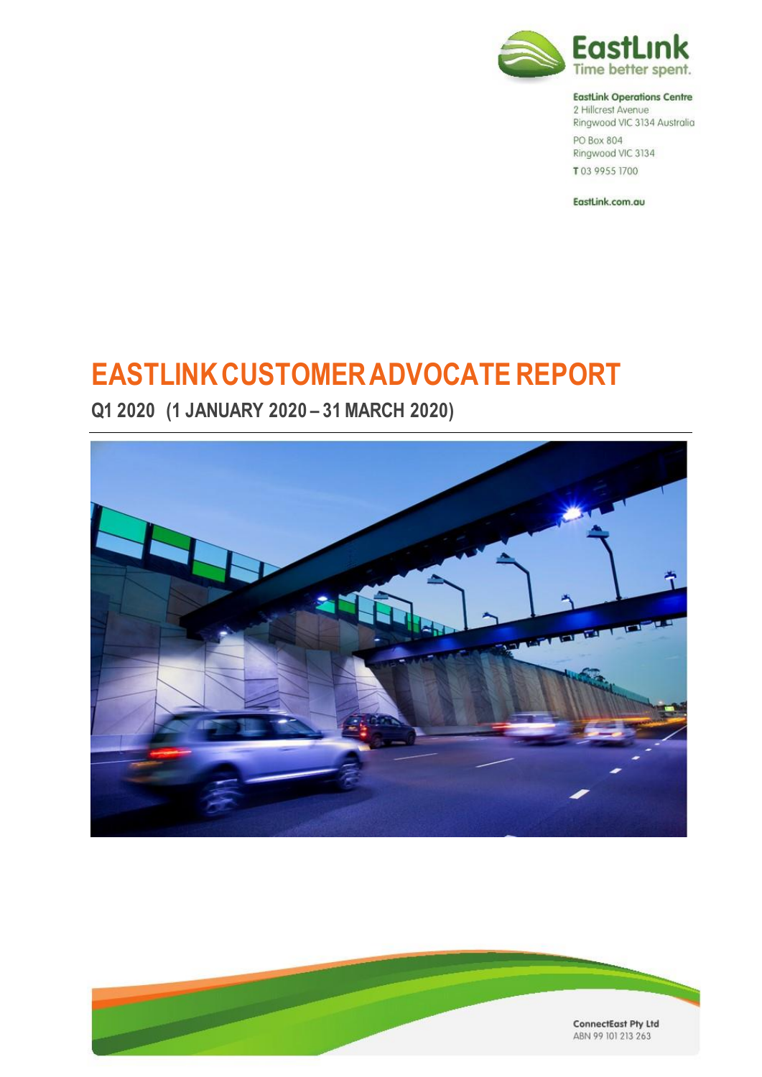

#### **EastLink Operations Centre**

2 Hillcrest Avenue Ringwood VIC 3134 Australia PO Box 804 Ringwood VIC 3134 T03 9955 1700

EastLink.com.au

# **EASTLINKCUSTOMERADVOCATE REPORT**

**Q1 2020 (1 JANUARY 2020 – 31MARCH 2020)**



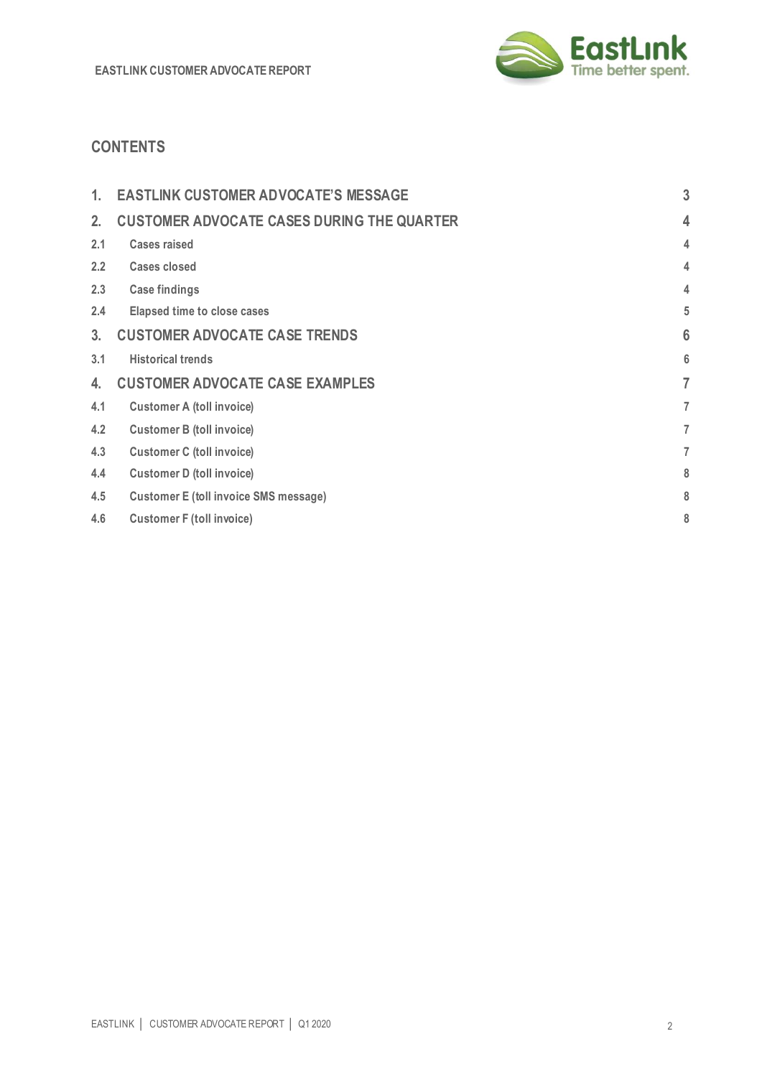

# **CONTENTS**

| 1.             | <b>EASTLINK CUSTOMER ADVOCATE'S MESSAGE</b>       | 3 |
|----------------|---------------------------------------------------|---|
| 2.             | <b>CUSTOMER ADVOCATE CASES DURING THE QUARTER</b> | 4 |
| 2.1            | <b>Cases raised</b>                               | 4 |
| 2.2            | Cases closed                                      | 4 |
| 2.3            | <b>Case findings</b>                              | 4 |
| 2.4            | <b>Elapsed time to close cases</b>                | 5 |
| 3 <sub>1</sub> | <b>CUSTOMER ADVOCATE CASE TRENDS</b>              | 6 |
| 3.1            | <b>Historical trends</b>                          | 6 |
| 4.             | <b>CUSTOMER ADVOCATE CASE EXAMPLES</b>            | 7 |
| 4.1            | <b>Customer A (toll invoice)</b>                  | 7 |
| 4.2            | <b>Customer B (toll invoice)</b>                  | 7 |
| 4.3            | <b>Customer C (toll invoice)</b>                  | 7 |
| 4.4            | <b>Customer D (toll invoice)</b>                  | 8 |
| 4.5            | <b>Customer E (toll invoice SMS message)</b>      | 8 |
| 4.6            | <b>Customer F (toll invoice)</b>                  | 8 |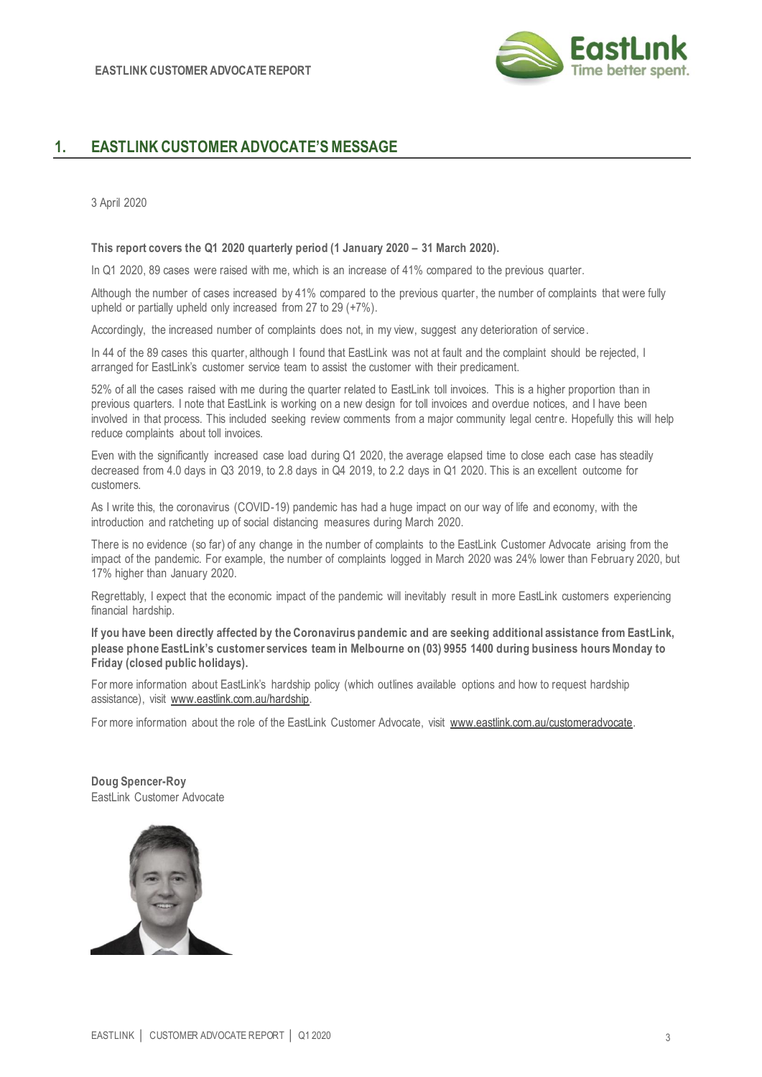

# **1. EASTLINK CUSTOMER ADVOCATE'S MESSAGE**

3 April 2020

**This report covers the Q1 2020 quarterly period (1 January 2020 – 31 March 2020).**

In Q1 2020, 89 cases were raised with me, which is an increase of 41% compared to the previous quarter.

Although the number of cases increased by 41% compared to the previous quarter, the number of complaints that were fully upheld or partially upheld only increased from 27 to 29 (+7%).

Accordingly, the increased number of complaints does not, in my view, suggest any deterioration of service.

In 44 of the 89 cases this quarter, although I found that EastLink was not at fault and the complaint should be rejected, I arranged for EastLink's customer service team to assist the customer with their predicament.

52% of all the cases raised with me during the quarter related to EastLink toll invoices. This is a higher proportion than in previous quarters. I note that EastLink is working on a new design for toll invoices and overdue notices, and I have been involved in that process. This included seeking review comments from a major community legal centre. Hopefully this will help reduce complaints about toll invoices.

Even with the significantly increased case load during Q1 2020, the average elapsed time to close each case has steadily decreased from 4.0 days in Q3 2019, to 2.8 days in Q4 2019, to 2.2 days in Q1 2020. This is an excellent outcome for customers.

As I write this, the coronavirus (COVID-19) pandemic has had a huge impact on our way of life and economy, with the introduction and ratcheting up of social distancing measures during March 2020.

There is no evidence (so far) of any change in the number of complaints to the EastLink Customer Advocate arising from the impact of the pandemic. For example, the number of complaints logged in March 2020 was 24% lower than February 2020, but 17% higher than January 2020.

Regrettably, I expect that the economic impact of the pandemic will inevitably result in more EastLink customers experiencing financial hardship.

**If you have been directly affected by the Coronavirus pandemic and are seeking additional assistance from EastLink, please phone EastLink's customer services team in Melbourne on (03) 9955 1400 during business hours Monday to Friday (closed public holidays).**

For more information about EastLink's hardship policy (which outlines available options and how to request hardship assistance), visit [www.eastlink.com.au/hardship.](http://www.eastlink.com.au/hardship)

For more information about the role of the EastLink Customer Advocate, visit [www.eastlink.com.au/customeradvocate.](http://www.eastlink.com.au/customeradvocate) 

**Doug Spencer-Roy** EastLink Customer Advocate

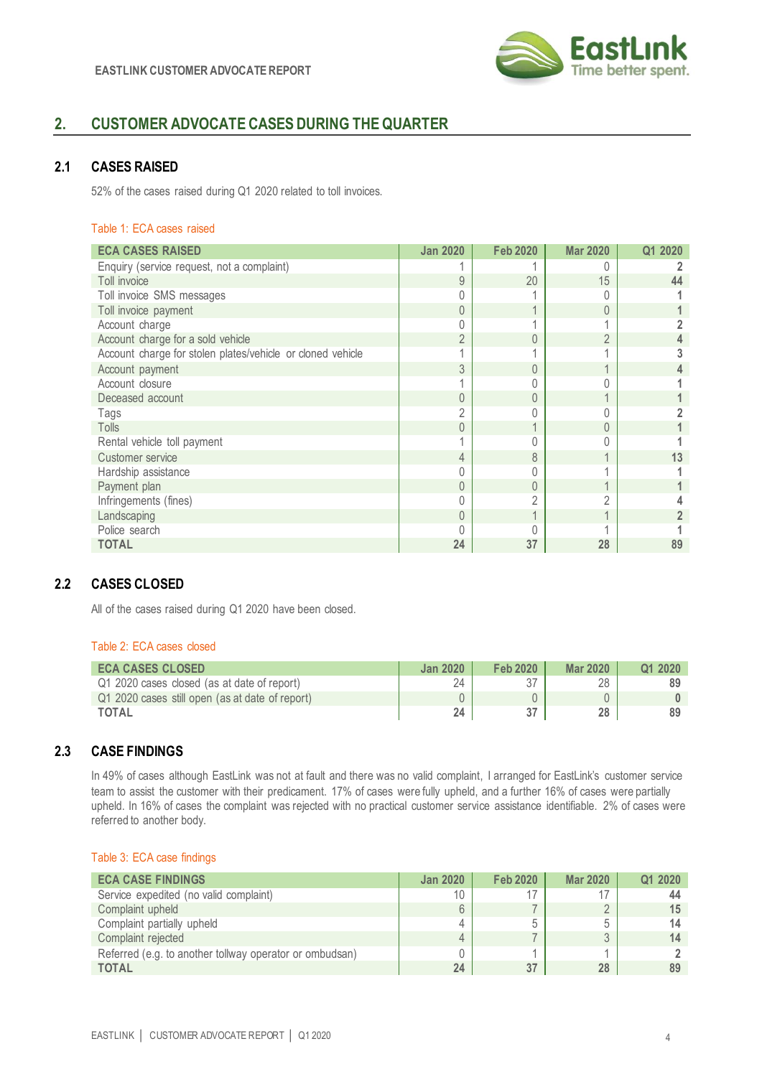

# **2. CUSTOMER ADVOCATE CASES DURING THE QUARTER**

## **2.1 CASES RAISED**

52% of the cases raised during Q1 2020 related to toll invoices.

#### Table 1: ECA cases raised

| <b>ECA CASES RAISED</b>                                    | <b>Jan 2020</b> | <b>Feb 2020</b>  | <b>Mar 2020</b> | Q1 2020 |
|------------------------------------------------------------|-----------------|------------------|-----------------|---------|
| Enquiry (service request, not a complaint)                 |                 |                  |                 |         |
| Toll invoice                                               | 9               | 20               | 15              | 44      |
| Toll invoice SMS messages                                  | $\Omega$        |                  |                 |         |
| Toll invoice payment                                       | $\theta$        |                  | 0               |         |
| Account charge                                             | 0               |                  |                 |         |
| Account charge for a sold vehicle                          | $\overline{2}$  |                  | $\mathfrak{D}$  |         |
| Account charge for stolen plates/vehicle or cloned vehicle |                 |                  |                 |         |
| Account payment                                            | 3               | $\left( \right)$ |                 |         |
| Account closure                                            |                 |                  |                 |         |
| Deceased account                                           | $\theta$        |                  |                 |         |
| Tags                                                       | 2               |                  |                 |         |
| Tolls                                                      | $\theta$        |                  |                 |         |
| Rental vehicle toll payment                                |                 |                  |                 |         |
| Customer service                                           | 4               | 8                |                 | 13      |
| Hardship assistance                                        | 0               |                  |                 |         |
| Payment plan                                               | $\theta$        | U                |                 |         |
| Infringements (fines)                                      | 0               | 2                | 2               |         |
| Landscaping                                                | $\theta$        |                  |                 |         |
| Police search                                              |                 |                  |                 |         |
| <b>TOTAL</b>                                               | 24              | 37               | 28              | 89      |

# **2.2 CASES CLOSED**

All of the cases raised during Q1 2020 have been closed.

#### Table 2: ECA cases closed

| <b>ECA CASES CLOSED</b>                         | <b>Jan 2020</b> | <b>Feb 2020</b> | <b>Mar 2020</b> | Q1 2020 |
|-------------------------------------------------|-----------------|-----------------|-----------------|---------|
| Q1 2020 cases closed (as at date of report)     | 24              |                 | 28              |         |
| Q1 2020 cases still open (as at date of report) |                 |                 |                 |         |
| <b>TOTAL</b>                                    | 24              |                 | 28              |         |

# **2.3 CASE FINDINGS**

In 49% of cases although EastLink was not at fault and there was no valid complaint, I arranged for EastLink's customer service team to assist the customer with their predicament. 17% of cases were fully upheld, and a further 16% of cases were partially upheld. In 16% of cases the complaint was rejected with no practical customer service assistance identifiable. 2% of cases were referred to another body.

#### Table 3: ECA case findings

| <b>ECA CASE FINDINGS</b>                                | <b>Jan 2020</b> | Feb 2020 | <b>Mar 2020</b> | Q1 2020 |
|---------------------------------------------------------|-----------------|----------|-----------------|---------|
| Service expedited (no valid complaint)                  | 10              |          |                 |         |
| Complaint upheld                                        | 6               |          |                 | 15      |
| Complaint partially upheld                              | 4               | b        |                 | 14      |
| Complaint rejected                                      | 4               |          |                 |         |
| Referred (e.g. to another tollway operator or ombudsan) |                 |          |                 |         |
| <b>TOTAL</b>                                            | 24              |          | 28              |         |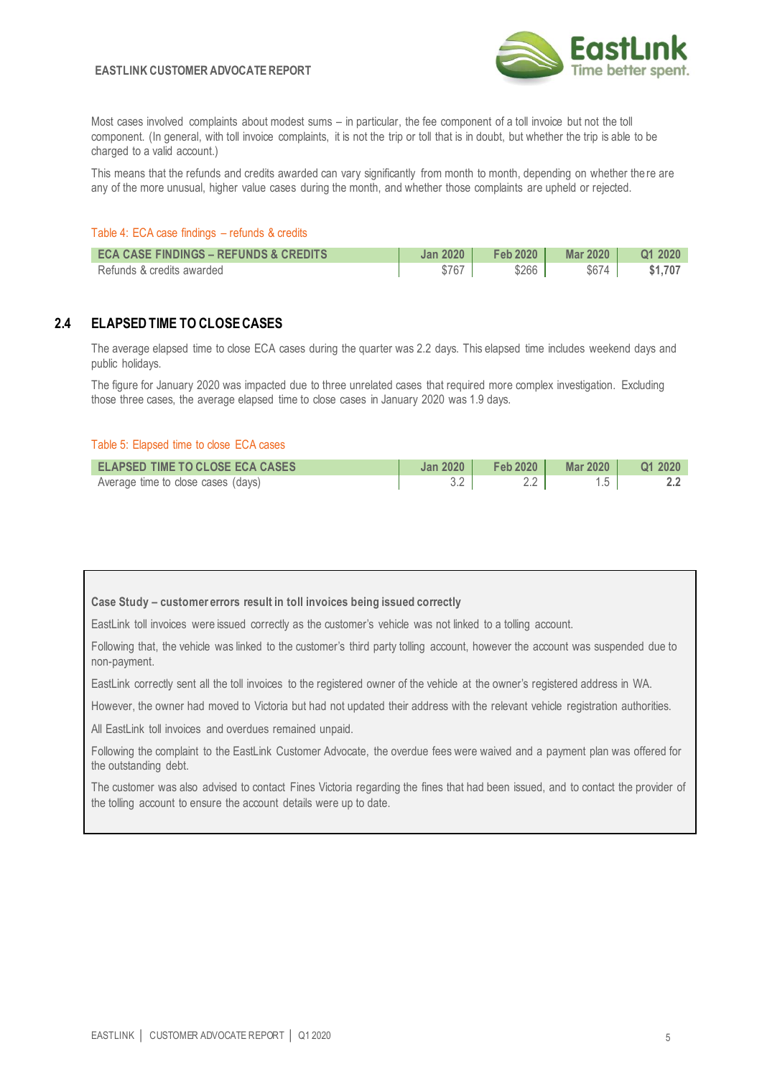

Most cases involved complaints about modest sums – in particular, the fee component of a toll invoice but not the toll component. (In general, with toll invoice complaints, it is not the trip or toll that is in doubt, but whether the trip is able to be charged to a valid account.)

This means that the refunds and credits awarded can vary significantly from month to month, depending on whether the re are any of the more unusual, higher value cases during the month, and whether those complaints are upheld or rejected.

#### Table 4: ECA case findings – refunds & credits

| <b>ECA CASE FINDINGS - REFUNDS &amp; CREDITS</b> | <b>Jan 2020</b> | <b>Feb 2020</b> | Mar 2020 | Q1 2020 |
|--------------------------------------------------|-----------------|-----------------|----------|---------|
| Refunds & credits awarded                        | \$767           | \$266           | \$674    | \$1.707 |

# **2.4 ELAPSED TIME TO CLOSE CASES**

The average elapsed time to close ECA cases during the quarter was 2.2 days. This elapsed time includes weekend days and public holidays.

The figure for January 2020 was impacted due to three unrelated cases that required more complex investigation. Excluding those three cases, the average elapsed time to close cases in January 2020 was 1.9 days.

#### Table 5: Elapsed time to close ECA cases

| <b>ELAPSED TIME TO CLOSE ECA CASES</b> | Jan 2020 | Feb 2020 | Mar 2020 1 | Q1 2020 |
|----------------------------------------|----------|----------|------------|---------|
| Average time to close cases (days)     |          |          |            |         |

#### **Case Study – customer errors result in toll invoices being issued correctly**

EastLink toll invoices were issued correctly as the customer's vehicle was not linked to a tolling account.

Following that, the vehicle was linked to the customer's third party tolling account, however the account was suspended due to non-payment.

EastLink correctly sent all the toll invoices to the registered owner of the vehicle at the owner's registered address in WA.

However, the owner had moved to Victoria but had not updated their address with the relevant vehicle registration authorities.

All EastLink toll invoices and overdues remained unpaid.

Following the complaint to the EastLink Customer Advocate, the overdue fees were waived and a payment plan was offered for the outstanding debt.

The customer was also advised to contact Fines Victoria regarding the fines that had been issued, and to contact the provider of the tolling account to ensure the account details were up to date.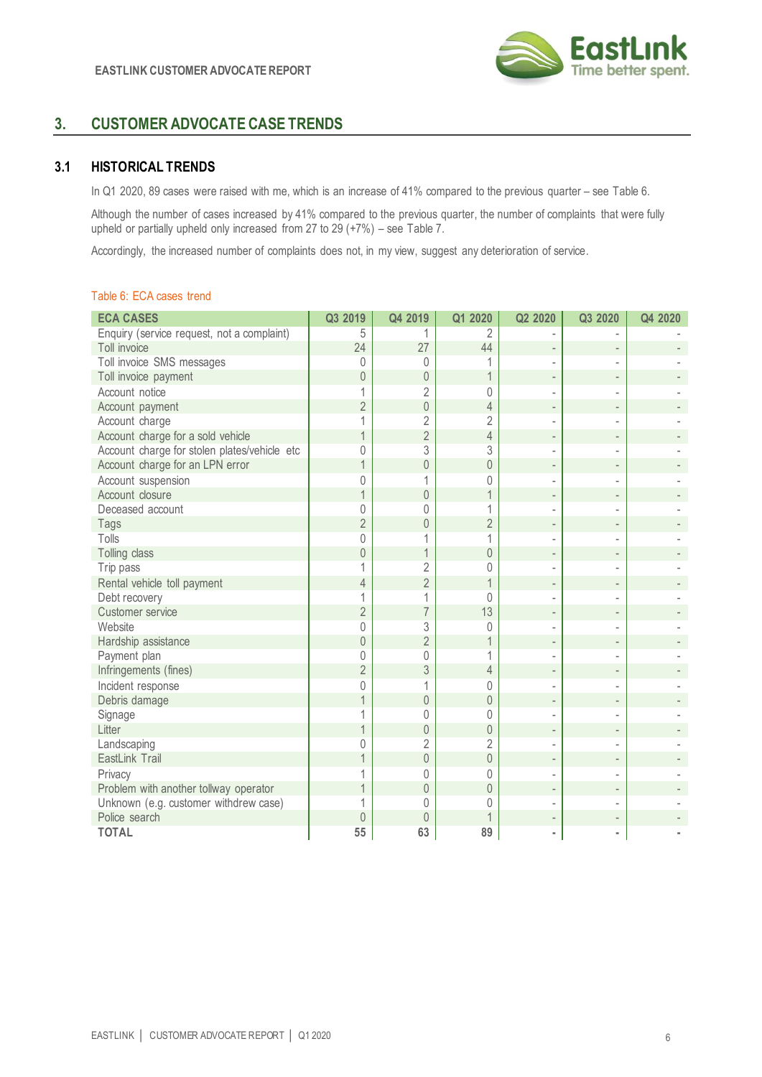

# **3. CUSTOMER ADVOCATE CASE TRENDS**

# **3.1 HISTORICAL TRENDS**

In Q1 2020, 89 cases were raised with me, which is an increase of 41% compared to the previous quarter – see Table 6.

Although the number of cases increased by 41% compared to the previous quarter, the number of complaints that were fully upheld or partially upheld only increased from 27 to 29 (+7%) – see Table 7.

Accordingly, the increased number of complaints does not, in my view, suggest any deterioration of service.

#### Table 6: ECA cases trend

| <b>ECA CASES</b>                             | Q3 2019        | Q4 2019        | Q1 2020        | Q2 2020        | Q3 2020           | Q4 2020 |
|----------------------------------------------|----------------|----------------|----------------|----------------|-------------------|---------|
| Enquiry (service request, not a complaint)   | 5              |                | 2              |                |                   |         |
| Toll invoice                                 | 24             | 27             | 44             |                |                   |         |
| Toll invoice SMS messages                    | 0              | $\Omega$       |                |                |                   |         |
| Toll invoice payment                         | 0              | $\theta$       | 1              |                |                   |         |
| Account notice                               | 1              | 2              | $\Omega$       |                |                   |         |
| Account payment                              | $\overline{2}$ | $\mathbf 0$    | $\overline{4}$ |                |                   |         |
| Account charge                               | 1              | $\overline{2}$ | $\overline{2}$ |                |                   |         |
| Account charge for a sold vehicle            |                | $\overline{2}$ | $\overline{4}$ |                |                   |         |
| Account charge for stolen plates/vehicle etc | 0              | 3              | 3              |                |                   |         |
| Account charge for an LPN error              |                | $\overline{0}$ | $\overline{0}$ |                |                   |         |
| Account suspension                           | 0              |                | 0              |                |                   |         |
| Account closure                              |                | $\theta$       |                |                |                   |         |
| Deceased account                             | 0              | 0              |                |                |                   |         |
| Tags                                         | $\overline{2}$ | $\overline{0}$ | $\overline{2}$ |                |                   |         |
| Tolls                                        | 0              |                | 1              |                |                   |         |
| Tolling class                                | 0              | 1              | $\theta$       | $\overline{a}$ | $\qquad \qquad -$ |         |
| Trip pass                                    |                | $\overline{2}$ | 0              |                |                   |         |
| Rental vehicle toll payment                  | 4              | $\overline{2}$ | $\mathbf 1$    |                |                   |         |
| Debt recovery                                | 1              | 1              | $\Omega$       |                |                   |         |
| Customer service                             | $\overline{2}$ | $\overline{7}$ | 13             |                |                   |         |
| Website                                      | 0              | 3              | $\Omega$       |                |                   |         |
| Hardship assistance                          | $\overline{0}$ | $\overline{2}$ |                |                |                   |         |
| Payment plan                                 | 0              | $\mathbf 0$    | 1              |                |                   |         |
| Infringements (fines)                        | $\overline{2}$ | 3              | $\overline{4}$ |                |                   |         |
| Incident response                            | 0              | 1              | 0              |                |                   |         |
| Debris damage                                |                | $\mathbb O$    | $\overline{0}$ |                |                   |         |
| Signage                                      |                | 0              | 0              |                |                   |         |
| Litter                                       |                | $\overline{0}$ | $\theta$       |                |                   |         |
| Landscaping                                  | 0              | $\overline{2}$ | $\overline{2}$ |                |                   |         |
| EastLink Trail                               |                | $\mathbf 0$    | $\mathbf 0$    | $\overline{a}$ |                   |         |
| Privacy                                      | 1              | 0              | $\Omega$       |                |                   |         |
| Problem with another tollway operator        | 1              | $\mathbf 0$    | $\overline{0}$ |                |                   |         |
| Unknown (e.g. customer withdrew case)        |                | $\Omega$       | $\Omega$       |                |                   |         |
| Police search                                | $\overline{0}$ | $\theta$       | 1              |                |                   |         |
| <b>TOTAL</b>                                 | 55             | 63             | 89             |                |                   |         |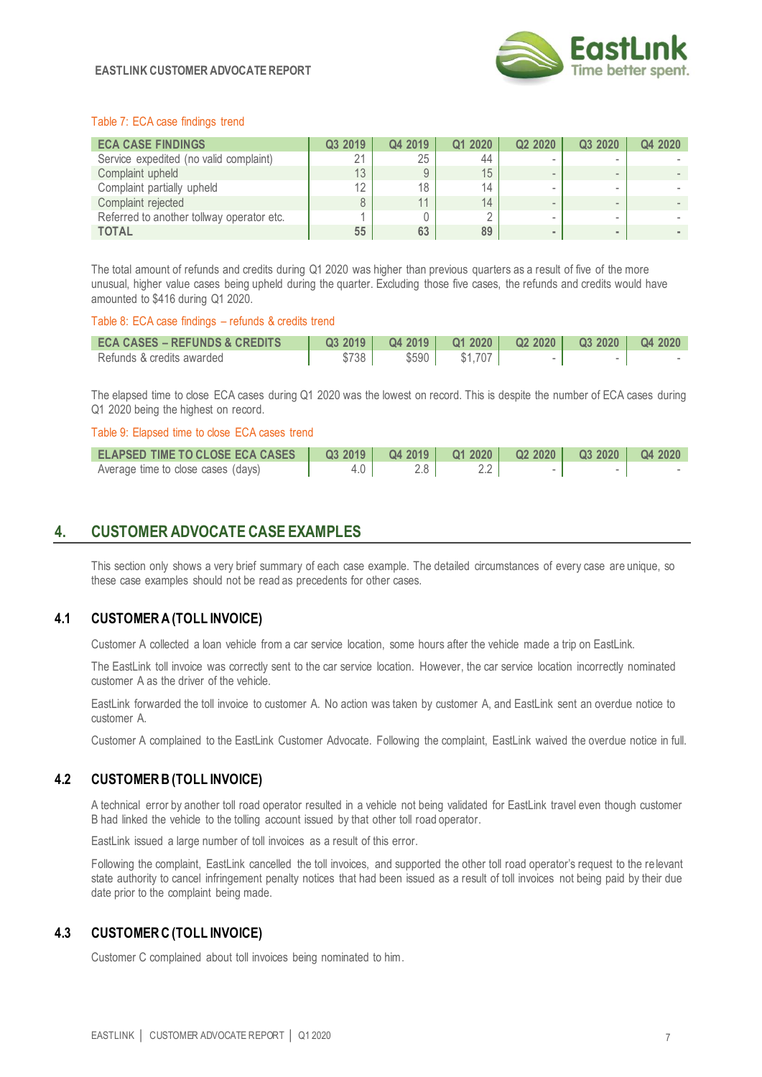

#### **EASTLINK CUSTOMER ADVOCATE REPORT**

#### Table 7: ECA case findings trend

| <b>ECA CASE FINDINGS</b>                  | Q3 2019 | Q4 2019 | Q1 2020         | Q2 2020 | Q3 2020 | Q4 2020 |
|-------------------------------------------|---------|---------|-----------------|---------|---------|---------|
| Service expedited (no valid complaint)    | 21      | 25      | 44              |         |         |         |
| Complaint upheld                          | 13      |         | 15 <sub>1</sub> |         |         |         |
| Complaint partially upheld                | 12      | 18      | 14              |         |         |         |
| Complaint rejected                        | 8       | 11      | 14              |         |         |         |
| Referred to another tollway operator etc. |         |         |                 |         | -       |         |
| <b>TOTAL</b>                              | 55      | 63      | 89              |         |         |         |

The total amount of refunds and credits during Q1 2020 was higher than previous quarters as a result of five of the more unusual, higher value cases being upheld during the quarter. Excluding those five cases, the refunds and credits would have amounted to \$416 during Q1 2020.

#### Table 8: ECA case findings – refunds & credits trend

| <b>ECA CASES – REFUNDS &amp; CREDITS</b> | Q32019 | Q42019         |         | Q1 2020   Q2 2020 | $\overline{Q}$ 3 2020 $\overline{Q}$ 4 2020 |  |
|------------------------------------------|--------|----------------|---------|-------------------|---------------------------------------------|--|
| Refunds & credits awarded                | \$738  | $$590$ $\vert$ | \$1.707 |                   |                                             |  |

The elapsed time to close ECA cases during Q1 2020 was the lowest on record. This is despite the number of ECA cases during Q1 2020 being the highest on record.

#### Table 9: Elapsed time to close ECA cases trend

| <b>ELAPSED TIME TO CLOSE ECA CASES</b> |     |  |  |  |
|----------------------------------------|-----|--|--|--|
| Average time to close cases (days)     | 4.0 |  |  |  |

# **4. CUSTOMER ADVOCATE CASE EXAMPLES**

This section only shows a very brief summary of each case example. The detailed circumstances of every case are unique, so these case examples should not be read as precedents for other cases.

## **4.1 CUSTOMER A(TOLL INVOICE)**

Customer A collected a loan vehicle from a car service location, some hours after the vehicle made a trip on EastLink.

The EastLink toll invoice was correctly sent to the car service location. However, the car service location incorrectly nominated customer A as the driver of the vehicle.

EastLink forwarded the toll invoice to customer A. No action was taken by customer A, and EastLink sent an overdue notice to customer A.

Customer A complained to the EastLink Customer Advocate. Following the complaint, EastLink waived the overdue notice in full.

## **4.2 CUSTOMER B (TOLL INVOICE)**

A technical error by another toll road operator resulted in a vehicle not being validated for EastLink travel even though customer B had linked the vehicle to the tolling account issued by that other toll road operator.

EastLink issued a large number of toll invoices as a result of this error.

Following the complaint, EastLink cancelled the toll invoices, and supported the other toll road operator's request to the re levant state authority to cancel infringement penalty notices that had been issued as a result of toll invoices not being paid by their due date prior to the complaint being made.

## **4.3 CUSTOMER C (TOLL INVOICE)**

Customer C complained about toll invoices being nominated to him.